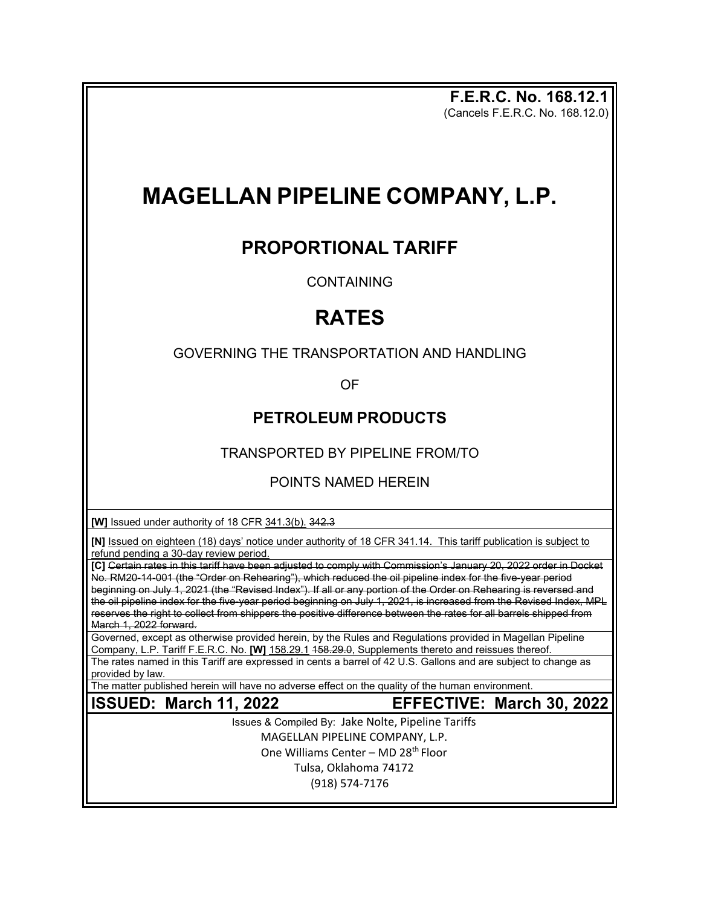**F.E.R.C. No. 168.12.1** (Cancels F.E.R.C. No. 168.12.0)

## **MAGELLAN PIPELINE COMPANY, L.P.**

## **PROPORTIONAL TARIFF**

**CONTAINING** 

## **RATES**

GOVERNING THE TRANSPORTATION AND HANDLING

OF

## **PETROLEUM PRODUCTS**

TRANSPORTED BY PIPELINE FROM/TO

POINTS NAMED HEREIN

**[W]** Issued under authority of 18 CFR 341.3(b). 342.3

**[N]** Issued on eighteen (18) days' notice under authority of 18 CFR 341.14. This tariff publication is subject to refund pending a 30-day review period.

**[C]** Certain rates in this tariff have been adjusted to comply with Commission's January 20, 2022 order in Docket No. RM20-14-001 (the "Order on Rehearing"), which reduced the oil pipeline index for the five-year period beginning on July 1, 2021 (the "Revised Index"). If all or any portion of the Order on Rehearing is reversed and the oil pipeline index for the five-year period beginning on July 1, 2021, is increased from the Revised Index, MPL reserves the right to collect from shippers the positive difference between the rates for all barrels shipped from March 1, 2022 forward.

Governed, except as otherwise provided herein, by the Rules and Regulations provided in Magellan Pipeline Company, L.P. Tariff F.E.R.C. No. **[W]** 158.29.1 158.29.0, Supplements thereto and reissues thereof.

The rates named in this Tariff are expressed in cents a barrel of 42 U.S. Gallons and are subject to change as provided by law.

The matter published herein will have no adverse effect on the quality of the human environment.

- 
- **ISSUED: March 11, 2022 EFFECTIVE: March 30, 2022**

Issues & Compiled By: Jake Nolte, Pipeline Tariffs MAGELLAN PIPELINE COMPANY, L.P. One Williams Center – MD 28<sup>th</sup> Floor Tulsa, Oklahoma 74172 (918) 574-7176